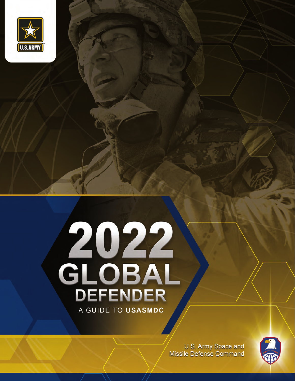

## 2022<br>GLOBAL<br>DEFENDER A GUIDE TO USASMDC

U.S. Army Space and **Missile Defense Command**